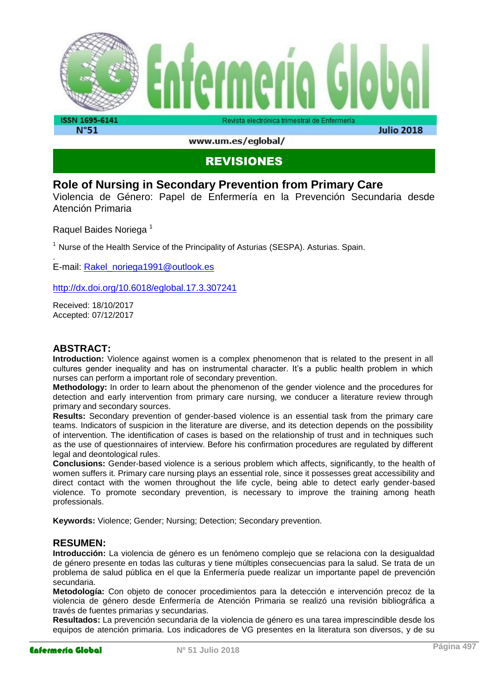

www.um.es/eglobal/

# REVISIONES

# **Role of Nursing in Secondary Prevention from Primary Care**

Violencia de Género: Papel de Enfermería en la Prevención Secundaria desde Atención Primaria

Raquel Baides Noriega<sup>1</sup>

<sup>1</sup> Nurse of the Health Service of the Principality of Asturias (SESPA). Asturias. Spain.

E-mail: [Rakel\\_noriega1991@outlook.es](mailto:Rakel_noriega1991@outlook.es)

<http://dx.doi.org/10.6018/eglobal.17.3.307241>

Received: 18/10/2017 Accepted: 07/12/2017

### **ABSTRACT:**

.

**Introduction:** Violence against women is a complex phenomenon that is related to the present in all cultures gender inequality and has on instrumental character. It's a public health problem in which nurses can perform a important role of secondary prevention.

**Methodology:** In order to learn about the phenomenon of the gender violence and the procedures for detection and early intervention from primary care nursing, we conducer a literature review through primary and secondary sources.

**Results:** Secondary prevention of gender-based violence is an essential task from the primary care teams. Indicators of suspicion in the literature are diverse, and its detection depends on the possibility of intervention. The identification of cases is based on the relationship of trust and in techniques such as the use of questionnaires of interview. Before his confirmation procedures are regulated by different legal and deontological rules.

**Conclusions:** Gender-based violence is a serious problem which affects, significantly, to the health of women suffers it. Primary care nursing plays an essential role, since it possesses great accessibility and direct contact with the women throughout the life cycle, being able to detect early gender-based violence. To promote secondary prevention, is necessary to improve the training among heath professionals.

**Keywords:** Violence; Gender; Nursing; Detection; Secondary prevention.

## **RESUMEN:**

**Introducción:** La violencia de género es un fenómeno complejo que se relaciona con la desigualdad de género presente en todas las culturas y tiene múltiples consecuencias para la salud. Se trata de un problema de salud pública en el que la Enfermería puede realizar un importante papel de prevención secundaria.

**Metodología:** Con objeto de conocer procedimientos para la detección e intervención precoz de la violencia de género desde Enfermería de Atención Primaria se realizó una revisión bibliográfica a través de fuentes primarias y secundarias.

**Resultados:** La prevención secundaria de la violencia de género es una tarea imprescindible desde los equipos de atención primaria. Los indicadores de VG presentes en la literatura son diversos, y de su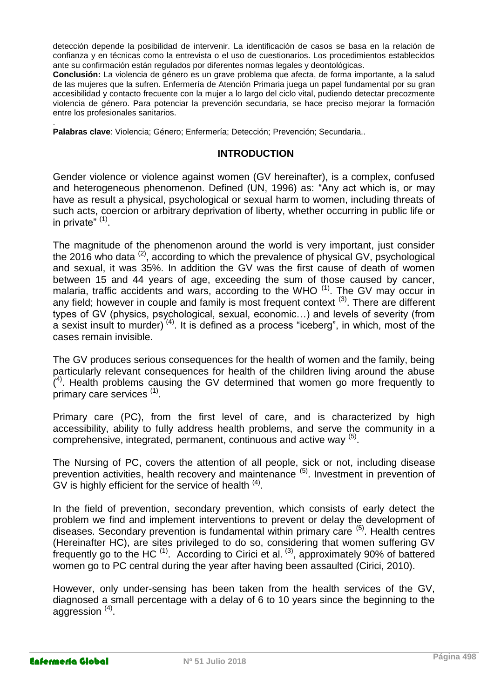detección depende la posibilidad de intervenir. La identificación de casos se basa en la relación de confianza y en técnicas como la entrevista o el uso de cuestionarios. Los procedimientos establecidos ante su confirmación están regulados por diferentes normas legales y deontológicas.

**Conclusión:** La violencia de género es un grave problema que afecta, de forma importante, a la salud de las mujeres que la sufren. Enfermería de Atención Primaria juega un papel fundamental por su gran accesibilidad y contacto frecuente con la mujer a lo largo del ciclo vital, pudiendo detectar precozmente violencia de género. Para potenciar la prevención secundaria, se hace preciso mejorar la formación entre los profesionales sanitarios.

. **Palabras clave**: Violencia; Género; Enfermería; Detección; Prevención; Secundaria..

## **INTRODUCTION**

Gender violence or violence against women (GV hereinafter), is a complex, confused and heterogeneous phenomenon. Defined (UN, 1996) as: "Any act which is, or may have as result a physical, psychological or sexual harm to women, including threats of such acts, coercion or arbitrary deprivation of liberty, whether occurring in public life or in private" (1).

The magnitude of the phenomenon around the world is very important, just consider the 2016 who data  $^{(2)}$ , according to which the prevalence of physical GV, psychological and sexual, it was 35%. In addition the GV was the first cause of death of women between 15 and 44 years of age, exceeding the sum of those caused by cancer, malaria, traffic accidents and wars, according to the WHO<sup>(1)</sup>. The GV may occur in any field; however in couple and family is most frequent context <sup>(3)</sup>. There are different types of GV (physics, psychological, sexual, economic…) and levels of severity (from a sexist insult to murder)<sup>(4)</sup>. It is defined as a process "iceberg", in which, most of the cases remain invisible.

The GV produces serious consequences for the health of women and the family, being particularly relevant consequences for health of the children living around the abuse  $(4)$ . Health problems causing the GV determined that women go more frequently to primary care services<sup>(1)</sup>.

Primary care (PC), from the first level of care, and is characterized by high accessibility, ability to fully address health problems, and serve the community in a comprehensive, integrated, permanent, continuous and active way <sup>(5)</sup>.

The Nursing of PC, covers the attention of all people, sick or not, including disease prevention activities, health recovery and maintenance (5). Investment in prevention of  $\mathsf{GV}$  is highly efficient for the service of health  $^{(4)}$ .

In the field of prevention, secondary prevention, which consists of early detect the problem we find and implement interventions to prevent or delay the development of diseases. Secondary prevention is fundamental within primary care <sup>(5)</sup>. Health centres (Hereinafter HC), are sites privileged to do so, considering that women suffering GV frequently go to the HC  $<sup>(1)</sup>$ . According to Cirici et al.  $<sup>(3)</sup>$ , approximately 90% of battered</sup></sup> women go to PC central during the year after having been assaulted (Cirici, 2010).

However, only under-sensing has been taken from the health services of the GV, diagnosed a small percentage with a delay of 6 to 10 years since the beginning to the aggression<sup>(4)</sup>.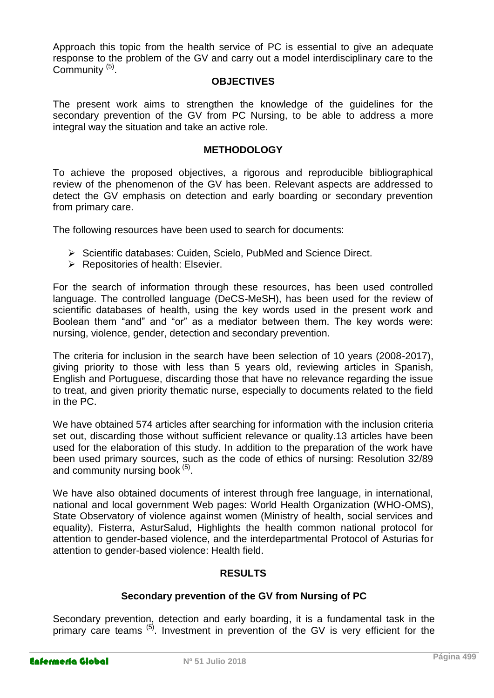Approach this topic from the health service of PC is essential to give an adequate response to the problem of the GV and carry out a model interdisciplinary care to the Community<sup>(5)</sup>.

## **OBJECTIVES**

The present work aims to strengthen the knowledge of the guidelines for the secondary prevention of the GV from PC Nursing, to be able to address a more integral way the situation and take an active role.

## **METHODOLOGY**

To achieve the proposed objectives, a rigorous and reproducible bibliographical review of the phenomenon of the GV has been. Relevant aspects are addressed to detect the GV emphasis on detection and early boarding or secondary prevention from primary care.

The following resources have been used to search for documents:

- $\triangleright$  Scientific databases: Cuiden, Scielo, PubMed and Science Direct.
- $\triangleright$  Repositories of health: Elsevier.

For the search of information through these resources, has been used controlled language. The controlled language (DeCS-MeSH), has been used for the review of scientific databases of health, using the key words used in the present work and Boolean them "and" and "or" as a mediator between them. The key words were: nursing, violence, gender, detection and secondary prevention.

The criteria for inclusion in the search have been selection of 10 years (2008-2017), giving priority to those with less than 5 years old, reviewing articles in Spanish, English and Portuguese, discarding those that have no relevance regarding the issue to treat, and given priority thematic nurse, especially to documents related to the field in the PC.

We have obtained 574 articles after searching for information with the inclusion criteria set out, discarding those without sufficient relevance or quality.13 articles have been used for the elaboration of this study. In addition to the preparation of the work have been used primary sources, such as the code of ethics of nursing: Resolution 32/89 and community nursing book (5).

We have also obtained documents of interest through free language, in international, national and local government Web pages: World Health Organization (WHO-OMS), State Observatory of violence against women (Ministry of health, social services and equality), Fisterra, AsturSalud, Highlights the health common national protocol for attention to gender-based violence, and the interdepartmental Protocol of Asturias for attention to gender-based violence: Health field.

# **RESULTS**

### **Secondary prevention of the GV from Nursing of PC**

Secondary prevention, detection and early boarding, it is a fundamental task in the primary care teams (5). Investment in prevention of the GV is very efficient for the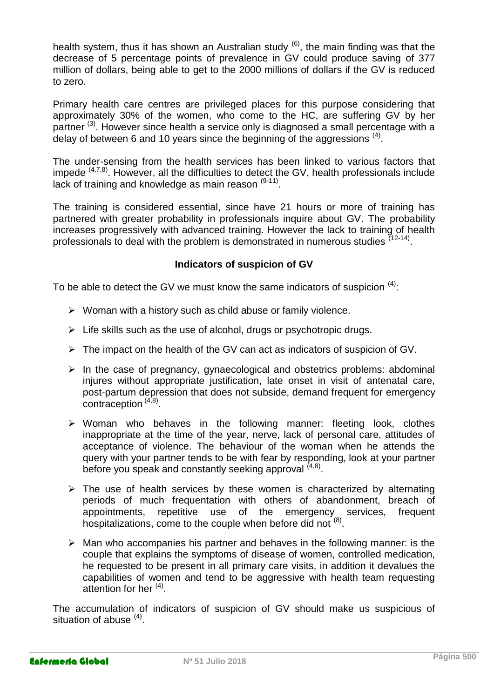health system, thus it has shown an Australian study <sup>(6)</sup>, the main finding was that the decrease of 5 percentage points of prevalence in GV could produce saving of 377 million of dollars, being able to get to the 2000 millions of dollars if the GV is reduced to zero.

Primary health care centres are privileged places for this purpose considering that approximately 30% of the women, who come to the HC, are suffering GV by her partner <sup>(3)</sup>. However since health a service only is diagnosed a small percentage with a delay of between 6 and 10 years since the beginning of the aggressions  $^{(4)}$ .

The under-sensing from the health services has been linked to various factors that impede <sup>(4,7,8)</sup>. However, all the difficulties to detect the GV, health professionals include lack of training and knowledge as main reason <sup>(9-11)</sup>.

The training is considered essential, since have 21 hours or more of training has partnered with greater probability in professionals inquire about GV. The probability increases progressively with advanced training. However the lack to training of health professionals to deal with the problem is demonstrated in numerous studies  $(12-14)$ .

# **Indicators of suspicion of GV**

To be able to detect the GV we must know the same indicators of suspicion  $(4)$ :

- $\triangleright$  Woman with a history such as child abuse or family violence.
- $\triangleright$  Life skills such as the use of alcohol, drugs or psychotropic drugs.
- $\triangleright$  The impact on the health of the GV can act as indicators of suspicion of GV.
- $\triangleright$  In the case of pregnancy, gynaecological and obstetrics problems: abdominal injures without appropriate justification, late onset in visit of antenatal care, post-partum depression that does not subside, demand frequent for emergency  $\overline{\text{contraception}}^{(4,8)}$ .
- $\triangleright$  Woman who behaves in the following manner: fleeting look, clothes inappropriate at the time of the year, nerve, lack of personal care, attitudes of acceptance of violence. The behaviour of the woman when he attends the query with your partner tends to be with fear by responding, look at your partner before you speak and constantly seeking approval <sup>(4,8)</sup>.
- $\triangleright$  The use of health services by these women is characterized by alternating periods of much frequentation with others of abandonment, breach of appointments, repetitive use of the emergency services, frequent hospitalizations, come to the couple when before did not <sup>(8)</sup>.
- $\triangleright$  Man who accompanies his partner and behaves in the following manner: is the couple that explains the symptoms of disease of women, controlled medication, he requested to be present in all primary care visits, in addition it devalues the capabilities of women and tend to be aggressive with health team requesting attention for her (4).

The accumulation of indicators of suspicion of GV should make us suspicious of situation of abuse <sup>(4)</sup>.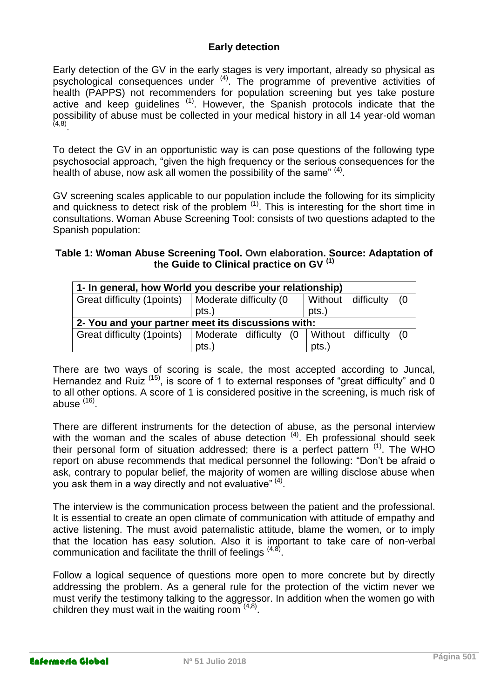# **Early detection**

Early detection of the GV in the early stages is very important, already so physical as psychological consequences under (4). The programme of preventive activities of health (PAPPS) not recommenders for population screening but yes take posture active and keep guidelines  $(1)$ . However, the Spanish protocols indicate that the . However, the Spanish protocols indicate that the possibility of abuse must be collected in your medical history in all 14 year-old woman (4,8) .

To detect the GV in an opportunistic way is can pose questions of the following type psychosocial approach, "given the high frequency or the serious consequences for the health of abuse, now ask all women the possibility of the same" (4).

GV screening scales applicable to our population include the following for its simplicity and quickness to detect risk of the problem <sup>(1)</sup>. This is interesting for the short time in consultations. Woman Abuse Screening Tool: consists of two questions adapted to the Spanish population:

# **Table 1: Woman Abuse Screening Tool. Own elaboration. Source: Adaptation of the Guide to Clinical practice on GV (1)**

| 1- In general, how World you describe your relationship)                  |       |                           |
|---------------------------------------------------------------------------|-------|---------------------------|
| Great difficulty (1 points)   Moderate difficulty (0                      |       | Without difficulty<br>(0) |
|                                                                           | pts.) | pts.)                     |
| 2- You and your partner meet its discussions with:                        |       |                           |
| Great difficulty (1 points)   Moderate difficulty (0   Without difficulty |       | (0)                       |
|                                                                           | pts.) | pts.)                     |

There are two ways of scoring is scale, the most accepted according to Juncal, Hernandez and Ruiz<sup>(15)</sup>, is score of 1 to external responses of "great difficulty" and 0 to all other options. A score of 1 is considered positive in the screening, is much risk of abuse <sup>(16)</sup>.

There are different instruments for the detection of abuse, as the personal interview with the woman and the scales of abuse detection  $(4)$ . Eh professional should seek their personal form of situation addressed; there is a perfect pattern  $(1)$ . The WHO report on abuse recommends that medical personnel the following: "Don't be afraid o ask, contrary to popular belief, the majority of women are willing disclose abuse when you ask them in a way directly and not evaluative"<sup>(4)</sup>.

The interview is the communication process between the patient and the professional. It is essential to create an open climate of communication with attitude of empathy and active listening. The must avoid paternalistic attitude, blame the women, or to imply that the location has easy solution. Also it is important to take care of non-verbal communication and facilitate the thrill of feelings  $(4,8)$ .

Follow a logical sequence of questions more open to more concrete but by directly addressing the problem. As a general rule for the protection of the victim never we must verify the testimony talking to the aggressor. In addition when the women go with children they must wait in the waiting room  $(4,8)$ .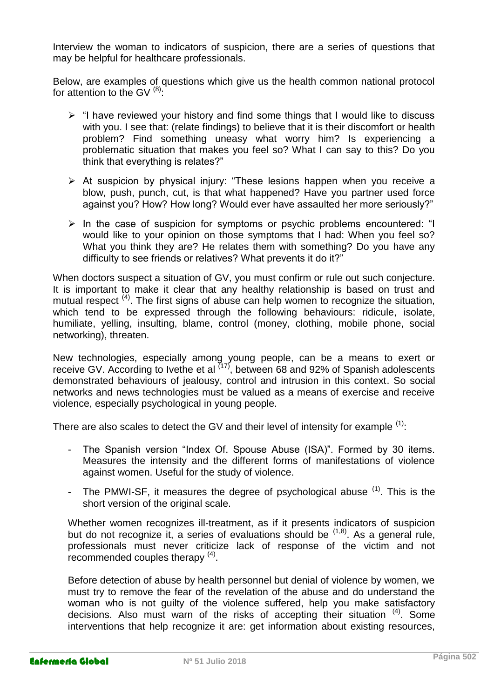Interview the woman to indicators of suspicion, there are a series of questions that may be helpful for healthcare professionals.

Below, are examples of questions which give us the health common national protocol for attention to the GV  $^{(8)}$ .

- $\triangleright$  "I have reviewed your history and find some things that I would like to discuss with you. I see that: (relate findings) to believe that it is their discomfort or health problem? Find something uneasy what worry him? Is experiencing a problematic situation that makes you feel so? What I can say to this? Do you think that everything is relates?"
- $\triangleright$  At suspicion by physical injury: "These lesions happen when you receive a blow, push, punch, cut, is that what happened? Have you partner used force against you? How? How long? Would ever have assaulted her more seriously?"
- $\triangleright$  In the case of suspicion for symptoms or psychic problems encountered: "I would like to your opinion on those symptoms that I had: When you feel so? What you think they are? He relates them with something? Do you have any difficulty to see friends or relatives? What prevents it do it?"

When doctors suspect a situation of GV, you must confirm or rule out such conjecture. It is important to make it clear that any healthy relationship is based on trust and mutual respect<sup>(4)</sup>. The first signs of abuse can help women to recognize the situation, which tend to be expressed through the following behaviours: ridicule, isolate, humiliate, yelling, insulting, blame, control (money, clothing, mobile phone, social networking), threaten.

New technologies, especially among young people, can be a means to exert or receive GV. According to Ivethe et al  $<sup>(17)</sup>$ , between 68 and 92% of Spanish adolescents</sup> demonstrated behaviours of jealousy, control and intrusion in this context. So social networks and news technologies must be valued as a means of exercise and receive violence, especially psychological in young people.

There are also scales to detect the GV and their level of intensity for example  $(1)$ :

- The Spanish version "Index Of. Spouse Abuse (ISA)". Formed by 30 items. Measures the intensity and the different forms of manifestations of violence against women. Useful for the study of violence.
- The PMWI-SF, it measures the degree of psychological abuse <sup>(1)</sup>. This is the short version of the original scale.

Whether women recognizes ill-treatment, as if it presents indicators of suspicion but do not recognize it, a series of evaluations should be  $(1,8)$ . As a general rule, professionals must never criticize lack of response of the victim and not recommended couples therapy (4).

Before detection of abuse by health personnel but denial of violence by women, we must try to remove the fear of the revelation of the abuse and do understand the woman who is not guilty of the violence suffered, help you make satisfactory decisions. Also must warn of the risks of accepting their situation <sup>(4)</sup>. Some interventions that help recognize it are: get information about existing resources,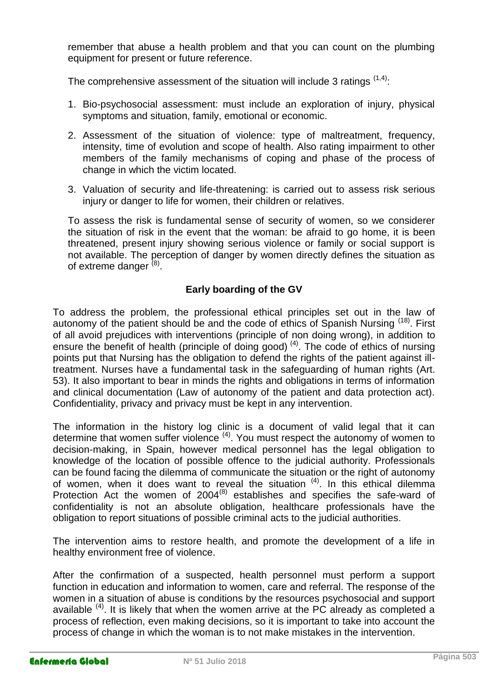remember that abuse a health problem and that you can count on the plumbing equipment for present or future reference.

The comprehensive assessment of the situation will include 3 ratings  $(1,4)$ :

- 1. Bio-psychosocial assessment: must include an exploration of injury, physical symptoms and situation, family, emotional or economic.
- 2. Assessment of the situation of violence: type of maltreatment, frequency, intensity, time of evolution and scope of health. Also rating impairment to other members of the family mechanisms of coping and phase of the process of change in which the victim located.
- 3. Valuation of security and life-threatening: is carried out to assess risk serious injury or danger to life for women, their children or relatives.

To assess the risk is fundamental sense of security of women, so we considerer the situation of risk in the event that the woman: be afraid to go home, it is been threatened, present injury showing serious violence or family or social support is not available. The perception of danger by women directly defines the situation as of extreme danger <sup>(8)</sup>.

# **Early boarding of the GV**

To address the problem, the professional ethical principles set out in the law of autonomy of the patient should be and the code of ethics of Spanish Nursing <sup>(18)</sup>. First of all avoid prejudices with interventions (principle of non doing wrong), in addition to ensure the benefit of health (principle of doing good)<sup>(4)</sup>. The code of ethics of nursing points put that Nursing has the obligation to defend the rights of the patient against illtreatment. Nurses have a fundamental task in the safeguarding of human rights (Art. 53). It also important to bear in minds the rights and obligations in terms of information and clinical documentation (Law of autonomy of the patient and data protection act). Confidentiality, privacy and privacy must be kept in any intervention.

The information in the history log clinic is a document of valid legal that it can determine that women suffer violence<sup>(4)</sup>. You must respect the autonomy of women to decision-making, in Spain, however medical personnel has the legal obligation to knowledge of the location of possible offence to the judicial authority. Professionals can be found facing the dilemma of communicate the situation or the right of autonomy of women, when it does want to reveal the situation <sup>(4)</sup>. In this ethical dilemma Protection Act the women of  $2004^{(8)}$  establishes and specifies the safe-ward of confidentiality is not an absolute obligation, healthcare professionals have the obligation to report situations of possible criminal acts to the judicial authorities.

The intervention aims to restore health, and promote the development of a life in healthy environment free of violence.

After the confirmation of a suspected, health personnel must perform a support function in education and information to women, care and referral. The response of the women in a situation of abuse is conditions by the resources psychosocial and support available  $(4)$ . It is likely that when the women arrive at the PC already as completed a process of reflection, even making decisions, so it is important to take into account the process of change in which the woman is to not make mistakes in the intervention.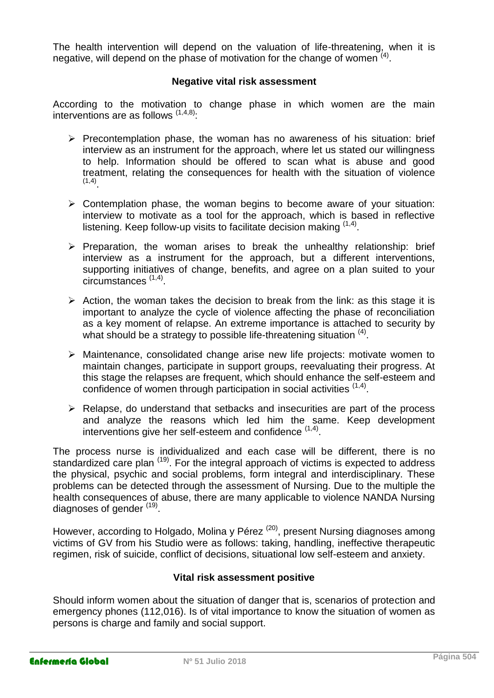The health intervention will depend on the valuation of life-threatening, when it is negative, will depend on the phase of motivation for the change of women  $(4)$ .

# **Negative vital risk assessment**

According to the motivation to change phase in which women are the main interventions are as follows  $(1,4,8)$ .

- $\triangleright$  Precontemplation phase, the woman has no awareness of his situation: brief interview as an instrument for the approach, where let us stated our willingness to help. Information should be offered to scan what is abuse and good treatment, relating the consequences for health with the situation of violence (1,4) .
- $\triangleright$  Contemplation phase, the woman begins to become aware of your situation: interview to motivate as a tool for the approach, which is based in reflective listening. Keep follow-up visits to facilitate decision making  $(1,4)$ .
- $\triangleright$  Preparation, the woman arises to break the unhealthy relationship: brief interview as a instrument for the approach, but a different interventions, supporting initiatives of change, benefits, and agree on a plan suited to your circumstances (1,4) .
- $\triangleright$  Action, the woman takes the decision to break from the link: as this stage it is important to analyze the cycle of violence affecting the phase of reconciliation as a key moment of relapse. An extreme importance is attached to security by what should be a strategy to possible life-threatening situation  $(4)$ .
- Maintenance, consolidated change arise new life projects: motivate women to maintain changes, participate in support groups, reevaluating their progress. At this stage the relapses are frequent, which should enhance the self-esteem and confidence of women through participation in social activities <sup>(1,4)</sup>.
- $\triangleright$  Relapse, do understand that setbacks and insecurities are part of the process and analyze the reasons which led him the same. Keep development interventions give her self-esteem and confidence  $(1,4)$ .

The process nurse is individualized and each case will be different, there is no standardized care plan <sup>(19)</sup>. For the integral approach of victims is expected to address the physical, psychic and social problems, form integral and interdisciplinary. These problems can be detected through the assessment of Nursing. Due to the multiple the health consequences of abuse, there are many applicable to violence NANDA Nursing diagnoses of gender <sup>(19)</sup>.

However, according to Holgado, Molina y Pérez <sup>(20)</sup>, present Nursing diagnoses among victims of GV from his Studio were as follows: taking, handling, ineffective therapeutic regimen, risk of suicide, conflict of decisions, situational low self-esteem and anxiety.

# **Vital risk assessment positive**

Should inform women about the situation of danger that is, scenarios of protection and emergency phones (112,016). Is of vital importance to know the situation of women as persons is charge and family and social support.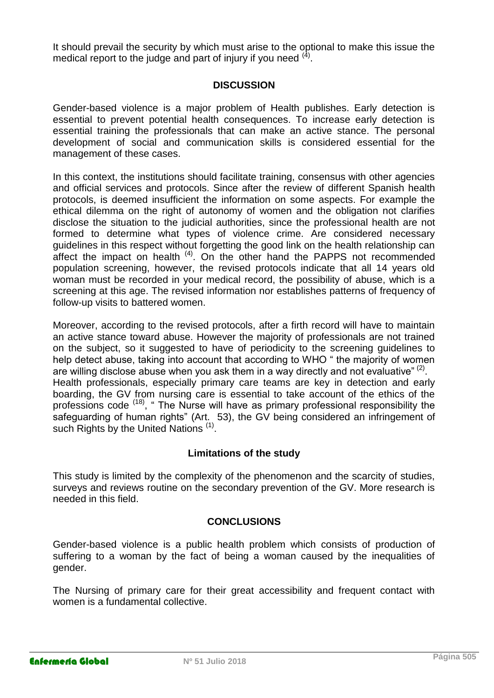It should prevail the security by which must arise to the optional to make this issue the medical report to the judge and part of injury if you need  $(4)$ .

# **DISCUSSION**

Gender-based violence is a major problem of Health publishes. Early detection is essential to prevent potential health consequences. To increase early detection is essential training the professionals that can make an active stance. The personal development of social and communication skills is considered essential for the management of these cases.

In this context, the institutions should facilitate training, consensus with other agencies and official services and protocols. Since after the review of different Spanish health protocols, is deemed insufficient the information on some aspects. For example the ethical dilemma on the right of autonomy of women and the obligation not clarifies disclose the situation to the judicial authorities, since the professional health are not formed to determine what types of violence crime. Are considered necessary guidelines in this respect without forgetting the good link on the health relationship can affect the impact on health <sup>(4)</sup>. On the other hand the PAPPS not recommended population screening, however, the revised protocols indicate that all 14 years old woman must be recorded in your medical record, the possibility of abuse, which is a screening at this age. The revised information nor establishes patterns of frequency of follow-up visits to battered women.

Moreover, according to the revised protocols, after a firth record will have to maintain an active stance toward abuse. However the majority of professionals are not trained on the subject, so it suggested to have of periodicity to the screening guidelines to help detect abuse, taking into account that according to WHO " the majority of women are willing disclose abuse when you ask them in a way directly and not evaluative"  $(2)$ . Health professionals, especially primary care teams are key in detection and early boarding, the GV from nursing care is essential to take account of the ethics of the professions code <sup>(18)</sup>, " The Nurse will have as primary professional responsibility the safeguarding of human rights" (Art. 53), the GV being considered an infringement of such Rights by the United Nations<sup>(1)</sup>.

# **Limitations of the study**

This study is limited by the complexity of the phenomenon and the scarcity of studies, surveys and reviews routine on the secondary prevention of the GV. More research is needed in this field.

# **CONCLUSIONS**

Gender-based violence is a public health problem which consists of production of suffering to a woman by the fact of being a woman caused by the inequalities of gender.

The Nursing of primary care for their great accessibility and frequent contact with women is a fundamental collective.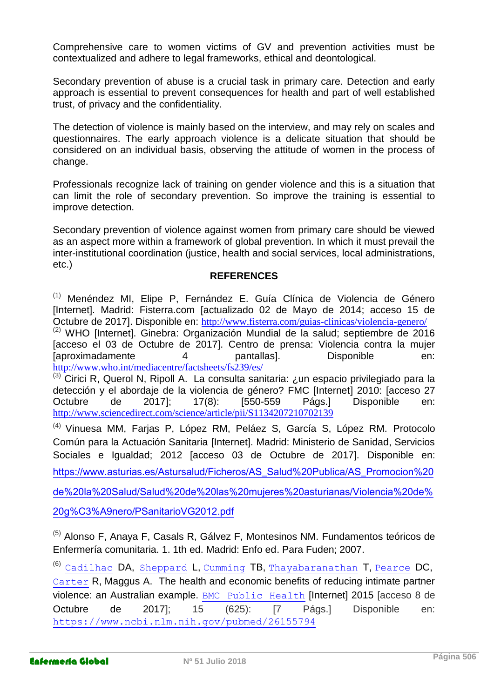Comprehensive care to women victims of GV and prevention activities must be contextualized and adhere to legal frameworks, ethical and deontological.

Secondary prevention of abuse is a crucial task in primary care. Detection and early approach is essential to prevent consequences for health and part of well established trust, of privacy and the confidentiality.

The detection of violence is mainly based on the interview, and may rely on scales and questionnaires. The early approach violence is a delicate situation that should be considered on an individual basis, observing the attitude of women in the process of change.

Professionals recognize lack of training on gender violence and this is a situation that can limit the role of secondary prevention. So improve the training is essential to improve detection.

Secondary prevention of violence against women from primary care should be viewed as an aspect more within a framework of global prevention. In which it must prevail the inter-institutional coordination (justice, health and social services, local administrations, etc.)

## **REFERENCES**

(1) Menéndez MI, Elipe P, Fernández E. Guía Clínica de Violencia de Género [Internet]. Madrid: Fisterra.com [actualizado 02 de Mayo de 2014; acceso 15 de Octubre de 2017]. Disponible en: <http://www.fisterra.com/guias-clinicas/violencia-genero/> (2) WHO [Internet]. Ginebra: Organización Mundial de la salud; septiembre de 2016 [acceso el 03 de Octubre de 2017]. Centro de prensa: Violencia contra la mujer [aproximadamente 4 pantallas]. Disponible en: <http://www.who.int/mediacentre/factsheets/fs239/es/>

<sup>(3)</sup> Cirici R. Querol N. Ripoll A. La consulta sanitaria: *i* un espacio privilegiado para la detección y el abordaje de la violencia de género? FMC [Internet] 2010: [acceso 27 Octubre de 2017]; 17(8): [550-559 Págs.] Disponible en: <http://www.sciencedirect.com/science/article/pii/S1134207210702139>

 $(4)$  Vinuesa MM, Farjas P, López RM, Peláez S, García S, López RM. Protocolo Común para la Actuación Sanitaria [Internet]. Madrid: Ministerio de Sanidad, Servicios Sociales e Igualdad; 2012 [acceso 03 de Octubre de 2017]. Disponible en: [https://www.asturias.es/Astursalud/Ficheros/AS\\_Salud%20Publica/AS\\_Promocion%20](https://www.asturias.es/Astursalud/Ficheros/AS_Salud%20Publica/AS_Promocion%20de%20la%20Salud/Salud%20de%20las%20mujeres%20asturianas/Violencia%20de%20g%C3%A9nero/PSanitarioVG2012.pdf)

[de%20la%20Salud/Salud%20de%20las%20mujeres%20asturianas/Violencia%20de%](https://www.asturias.es/Astursalud/Ficheros/AS_Salud%20Publica/AS_Promocion%20de%20la%20Salud/Salud%20de%20las%20mujeres%20asturianas/Violencia%20de%20g%C3%A9nero/PSanitarioVG2012.pdf)

[20g%C3%A9nero/PSanitarioVG2012.pdf](https://www.asturias.es/Astursalud/Ficheros/AS_Salud%20Publica/AS_Promocion%20de%20la%20Salud/Salud%20de%20las%20mujeres%20asturianas/Violencia%20de%20g%C3%A9nero/PSanitarioVG2012.pdf)

 $<sup>(5)</sup>$  Alonso F, Anaya F, Casals R, Gálvez F, Montesinos NM. Fundamentos teóricos de</sup> Enfermería comunitaria. 1. 1th ed. Madrid: Enfo ed. Para Fuden; 2007.

(6) [Cadilhac](https://www.ncbi.nlm.nih.gov/pubmed/?term=Cadilhac%20DA%5BAuthor%5D&cauthor=true&cauthor_uid=26155794) DA, [Sheppard](https://www.ncbi.nlm.nih.gov/pubmed/?term=Sheppard%20L%5BAuthor%5D&cauthor=true&cauthor_uid=26155794) L, [Cumming](https://www.ncbi.nlm.nih.gov/pubmed/?term=Cumming%20TB%5BAuthor%5D&cauthor=true&cauthor_uid=26155794) TB, [Thayabaranathan](https://www.ncbi.nlm.nih.gov/pubmed/?term=Thayabaranathan%20T%5BAuthor%5D&cauthor=true&cauthor_uid=26155794) T, [Pearce](https://www.ncbi.nlm.nih.gov/pubmed/?term=Pearce%20DC%5BAuthor%5D&cauthor=true&cauthor_uid=26155794) DC, [Carter](https://www.ncbi.nlm.nih.gov/pubmed/?term=Carter%20R%5BAuthor%5D&cauthor=true&cauthor_uid=26155794) R, Maggus A. The health and economic benefits of reducing intimate partner violence: an Australian example. [BMC Public Health](https://www.ncbi.nlm.nih.gov/pmc/articles/PMC4495849/) [Internet] 2015 [acceso 8 de Octubre de 2017]; 15 (625): [7 Págs.] Disponible en: <https://www.ncbi.nlm.nih.gov/pubmed/26155794>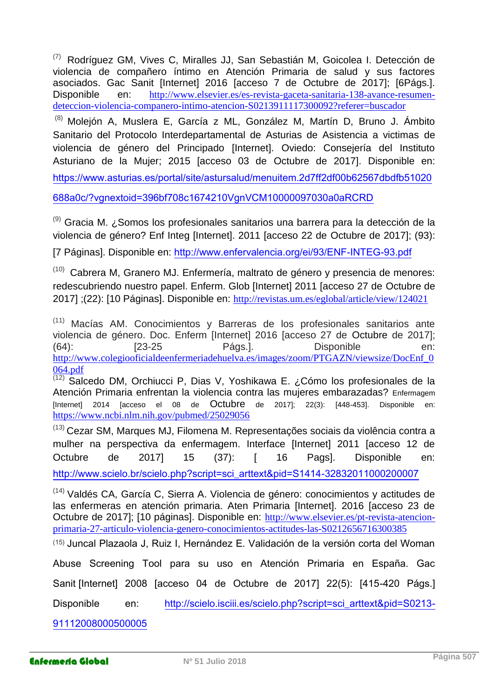$(7)$  Rodríguez GM, Vives C, Miralles JJ, San Sebastián M, Goicolea I. Detección de violencia de compañero íntimo en Atención Primaria de salud y sus factores asociados. Gac Sanit [Internet] 2016 [acceso 7 de Octubre de 2017]; [6Págs.]. Disponible en: [http://www.elsevier.es/es-revista-gaceta-sanitaria-138-avance-resumen](http://www.elsevier.es/es-revista-gaceta-sanitaria-138-avance-resumen-deteccion-violencia-companero-intimo-atencion-S0213911117300092?referer=buscador)[deteccion-violencia-companero-intimo-atencion-S0213911117300092?referer=buscador](http://www.elsevier.es/es-revista-gaceta-sanitaria-138-avance-resumen-deteccion-violencia-companero-intimo-atencion-S0213911117300092?referer=buscador)

 $(8)$  Molejón A, Muslera E, García z ML, González M, Martín D, Bruno J. Ámbito Sanitario del Protocolo Interdepartamental de Asturias de Asistencia a victimas de violencia de género del Principado [Internet]. Oviedo: Consejería del Instituto Asturiano de la Mujer; 2015 [acceso 03 de Octubre de 2017]. Disponible en:

[https://www.asturias.es/portal/site/astursalud/menuitem.2d7ff2df00b62567dbdfb51020](https://www.asturias.es/portal/site/astursalud/menuitem.2d7ff2df00b62567dbdfb51020688a0c/?vgnextoid=396bf708c1674210VgnVCM10000097030a0aRCRD)

[688a0c/?vgnextoid=396bf708c1674210VgnVCM10000097030a0aRCRD](https://www.asturias.es/portal/site/astursalud/menuitem.2d7ff2df00b62567dbdfb51020688a0c/?vgnextoid=396bf708c1674210VgnVCM10000097030a0aRCRD)

 $^{(9)}$  Gracia M.  $\mu$  Somos los profesionales sanitarios una barrera para la detección de la violencia de género? Enf Integ [Internet]. 2011 [acceso 22 de Octubre de 2017]; (93):

[7 Páginas]. Disponible en: <http://www.enfervalencia.org/ei/93/ENF-INTEG-93.pdf>

 $(10)$  Cabrera M, Granero MJ. Enfermería, maltrato de género y presencia de menores: redescubriendo nuestro papel. Enferm. Glob [Internet] 2011 [acceso 27 de Octubre de 2017] ;(22): [10 Páginas]. Disponible en: <http://revistas.um.es/eglobal/article/view/124021>

 $(11)$  Macías AM. Conocimientos y Barreras de los profesionales sanitarios ante violencia de género. Doc. Enferm [Internet] 2016 [acceso 27 de Octubre de 2017]; (64): [23-25 Págs.]. Disponible [http://www.colegiooficialdeenfermeriadehuelva.es/images/zoom/PTGAZN/viewsize/DocEnf\\_0](http://www.colegiooficialdeenfermeriadehuelva.es/images/zoom/PTGAZN/viewsize/DocEnf_0064.pdf) [064.pdf](http://www.colegiooficialdeenfermeriadehuelva.es/images/zoom/PTGAZN/viewsize/DocEnf_0064.pdf)

<sup>(12)</sup> Salcedo DM, Orchiucci P, Dias V, Yoshikawa E. ¿Cómo los profesionales de la Atención Primaria enfrentan la violencia contra las mujeres embarazadas? Enfermagem [Internet] 2014 [acceso el 08 de Octubre de 2017]; 22(3): [448-453]. Disponible en: <https://www.ncbi.nlm.nih.gov/pubmed/25029056>

(13) Cezar SM, Marques MJ, Filomena M. Representações sociais da violência contra a mulher na perspectiva da enfermagem. Interface [Internet] 2011 [acceso 12 de Octubre de 2017] 15 (37): [ 16 Pags]. Disponible en: [http://www.scielo.br/scielo.php?script=sci\\_arttext&pid=S1414-32832011000200007](http://www.scielo.br/scielo.php?script=sci_arttext&pid=S1414-32832011000200007)

 $(14)$  Valdés CA, García C, Sierra A. Violencia de género: conocimientos y actitudes de las enfermeras en atención primaria. Aten Primaria [Internet]. 2016 [acceso 23 de Octubre de 2017]; [10 páginas]. Disponible en: [http://www.elsevier.es/pt-revista-atencion](http://www.elsevier.es/pt-revista-atencion-primaria-27-articulo-violencia-genero-conocimientos-actitudes-las-S0212656716300385)[primaria-27-articulo-violencia-genero-conocimientos-actitudes-las-S0212656716300385](http://www.elsevier.es/pt-revista-atencion-primaria-27-articulo-violencia-genero-conocimientos-actitudes-las-S0212656716300385)

(15) Juncal Plazaola J, Ruiz I, Hernández E. Validación de la versión corta del Woman

Abuse Screening Tool para su uso en Atención Primaria en España. Gac

Sanit [Internet] 2008 [acceso 04 de Octubre de 2017] 22(5): [415-420 Págs.]

Disponible en: [http://scielo.isciii.es/scielo.php?script=sci\\_arttext&pid=S0213-](http://scielo.isciii.es/scielo.php?script=sci_arttext&pid=S0213-91112008000500005)

[91112008000500005](http://scielo.isciii.es/scielo.php?script=sci_arttext&pid=S0213-91112008000500005)